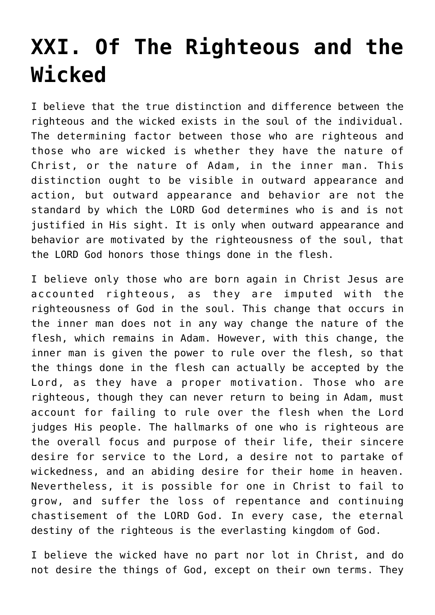## **[XXI. Of The Righteous and the](https://reproachofmen.org/statement-of-faith/xxi-of-the-righteous-and-the-wicked/) [Wicked](https://reproachofmen.org/statement-of-faith/xxi-of-the-righteous-and-the-wicked/)**

I believe that the true distinction and difference between the righteous and the wicked exists in the soul of the individual. The determining factor between those who are righteous and those who are wicked is whether they have the nature of Christ, or the nature of Adam, in the inner man. This distinction ought to be visible in outward appearance and action, but outward appearance and behavior are not the standard by which the LORD God determines who is and is not justified in His sight. It is only when outward appearance and behavior are motivated by the righteousness of the soul, that the LORD God honors those things done in the flesh.

I believe only those who are born again in Christ Jesus are accounted righteous, as they are imputed with the righteousness of God in the soul. This change that occurs in the inner man does not in any way change the nature of the flesh, which remains in Adam. However, with this change, the inner man is given the power to rule over the flesh, so that the things done in the flesh can actually be accepted by the Lord, as they have a proper motivation. Those who are righteous, though they can never return to being in Adam, must account for failing to rule over the flesh when the Lord judges His people. The hallmarks of one who is righteous are the overall focus and purpose of their life, their sincere desire for service to the Lord, a desire not to partake of wickedness, and an abiding desire for their home in heaven. Nevertheless, it is possible for one in Christ to fail to grow, and suffer the loss of repentance and continuing chastisement of the LORD God. In every case, the eternal destiny of the righteous is the everlasting kingdom of God.

I believe the wicked have no part nor lot in Christ, and do not desire the things of God, except on their own terms. They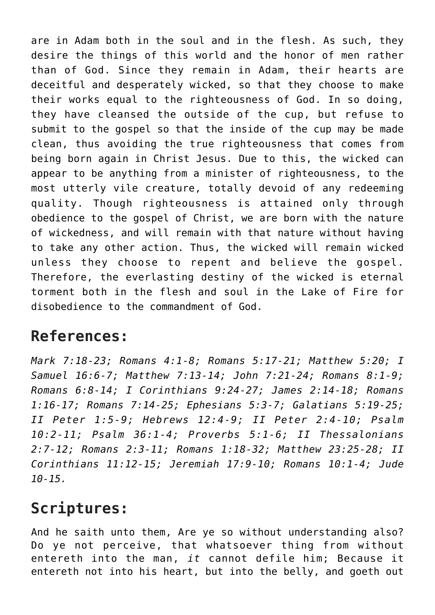are in Adam both in the soul and in the flesh. As such, they desire the things of this world and the honor of men rather than of God. Since they remain in Adam, their hearts are deceitful and desperately wicked, so that they choose to make their works equal to the righteousness of God. In so doing, they have cleansed the outside of the cup, but refuse to submit to the gospel so that the inside of the cup may be made clean, thus avoiding the true righteousness that comes from being born again in Christ Jesus. Due to this, the wicked can appear to be anything from a minister of righteousness, to the most utterly vile creature, totally devoid of any redeeming quality. Though righteousness is attained only through obedience to the gospel of Christ, we are born with the nature of wickedness, and will remain with that nature without having to take any other action. Thus, the wicked will remain wicked unless they choose to repent and believe the gospel. Therefore, the everlasting destiny of the wicked is eternal torment both in the flesh and soul in the Lake of Fire for disobedience to the commandment of God.

## **References:**

*Mark 7:18-23; Romans 4:1-8; Romans 5:17-21; Matthew 5:20; I Samuel 16:6-7; Matthew 7:13-14; John 7:21-24; Romans 8:1-9; Romans 6:8-14; I Corinthians 9:24-27; James 2:14-18; Romans 1:16-17; Romans 7:14-25; Ephesians 5:3-7; Galatians 5:19-25; II Peter 1:5-9; Hebrews 12:4-9; II Peter 2:4-10; Psalm 10:2-11; Psalm 36:1-4; Proverbs 5:1-6; II Thessalonians 2:7-12; Romans 2:3-11; Romans 1:18-32; Matthew 23:25-28; II Corinthians 11:12-15; Jeremiah 17:9-10; Romans 10:1-4; Jude 10-15.*

## **Scriptures:**

And he saith unto them, Are ye so without understanding also? Do ye not perceive, that whatsoever thing from without entereth into the man, *it* cannot defile him; Because it entereth not into his heart, but into the belly, and goeth out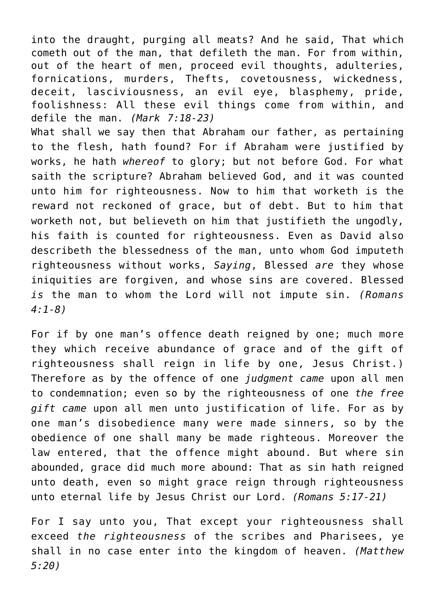into the draught, purging all meats? And he said, That which cometh out of the man, that defileth the man. For from within, out of the heart of men, proceed evil thoughts, adulteries, fornications, murders, Thefts, covetousness, wickedness, deceit, lasciviousness, an evil eye, blasphemy, pride, foolishness: All these evil things come from within, and defile the man. *(Mark 7:18-23)*

What shall we say then that Abraham our father, as pertaining to the flesh, hath found? For if Abraham were justified by works, he hath *whereof* to glory; but not before God. For what saith the scripture? Abraham believed God, and it was counted unto him for righteousness. Now to him that worketh is the reward not reckoned of grace, but of debt. But to him that worketh not, but believeth on him that justifieth the ungodly, his faith is counted for righteousness. Even as David also describeth the blessedness of the man, unto whom God imputeth righteousness without works, *Saying*, Blessed *are* they whose iniquities are forgiven, and whose sins are covered. Blessed *is* the man to whom the Lord will not impute sin. *(Romans 4:1-8)*

For if by one man's offence death reigned by one; much more they which receive abundance of grace and of the gift of righteousness shall reign in life by one, Jesus Christ.) Therefore as by the offence of one *judgment came* upon all men to condemnation; even so by the righteousness of one *the free gift came* upon all men unto justification of life. For as by one man's disobedience many were made sinners, so by the obedience of one shall many be made righteous. Moreover the law entered, that the offence might abound. But where sin abounded, grace did much more abound: That as sin hath reigned unto death, even so might grace reign through righteousness unto eternal life by Jesus Christ our Lord. *(Romans 5:17-21)*

For I say unto you, That except your righteousness shall exceed *the righteousness* of the scribes and Pharisees, ye shall in no case enter into the kingdom of heaven. *(Matthew 5:20)*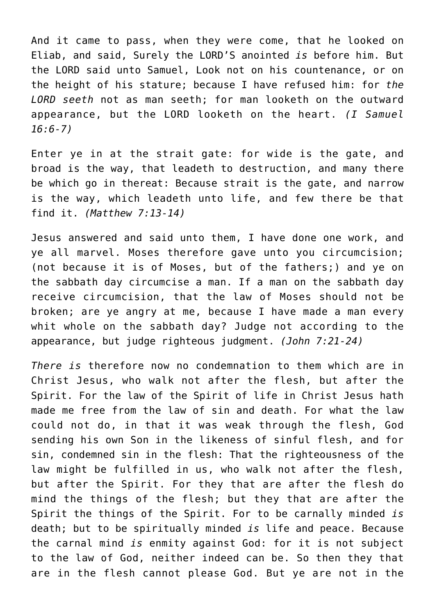And it came to pass, when they were come, that he looked on Eliab, and said, Surely the LORD'S anointed *is* before him. But the LORD said unto Samuel, Look not on his countenance, or on the height of his stature; because I have refused him: for *the LORD seeth* not as man seeth; for man looketh on the outward appearance, but the LORD looketh on the heart. *(I Samuel 16:6-7)*

Enter ye in at the strait gate: for wide is the gate, and broad is the way, that leadeth to destruction, and many there be which go in thereat: Because strait is the gate, and narrow is the way, which leadeth unto life, and few there be that find it. *(Matthew 7:13-14)*

Jesus answered and said unto them, I have done one work, and ye all marvel. Moses therefore gave unto you circumcision; (not because it is of Moses, but of the fathers;) and ye on the sabbath day circumcise a man. If a man on the sabbath day receive circumcision, that the law of Moses should not be broken; are ye angry at me, because I have made a man every whit whole on the sabbath day? Judge not according to the appearance, but judge righteous judgment. *(John 7:21-24)*

*There is* therefore now no condemnation to them which are in Christ Jesus, who walk not after the flesh, but after the Spirit. For the law of the Spirit of life in Christ Jesus hath made me free from the law of sin and death. For what the law could not do, in that it was weak through the flesh, God sending his own Son in the likeness of sinful flesh, and for sin, condemned sin in the flesh: That the righteousness of the law might be fulfilled in us, who walk not after the flesh, but after the Spirit. For they that are after the flesh do mind the things of the flesh; but they that are after the Spirit the things of the Spirit. For to be carnally minded *is* death; but to be spiritually minded *is* life and peace. Because the carnal mind *is* enmity against God: for it is not subject to the law of God, neither indeed can be. So then they that are in the flesh cannot please God. But ye are not in the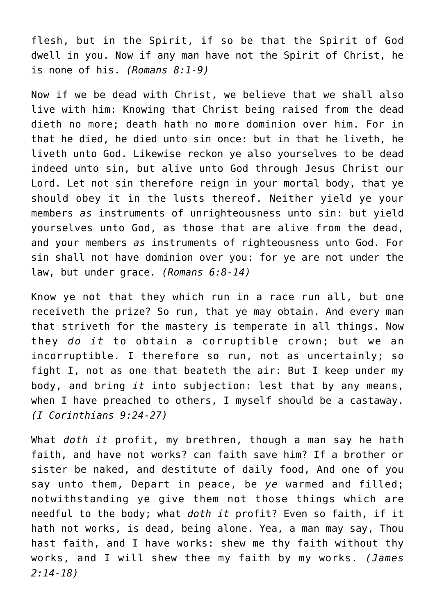flesh, but in the Spirit, if so be that the Spirit of God dwell in you. Now if any man have not the Spirit of Christ, he is none of his. *(Romans 8:1-9)*

Now if we be dead with Christ, we believe that we shall also live with him: Knowing that Christ being raised from the dead dieth no more; death hath no more dominion over him. For in that he died, he died unto sin once: but in that he liveth, he liveth unto God. Likewise reckon ye also yourselves to be dead indeed unto sin, but alive unto God through Jesus Christ our Lord. Let not sin therefore reign in your mortal body, that ye should obey it in the lusts thereof. Neither yield ye your members *as* instruments of unrighteousness unto sin: but yield yourselves unto God, as those that are alive from the dead, and your members *as* instruments of righteousness unto God. For sin shall not have dominion over you: for ye are not under the law, but under grace. *(Romans 6:8-14)*

Know ye not that they which run in a race run all, but one receiveth the prize? So run, that ye may obtain. And every man that striveth for the mastery is temperate in all things. Now they *do it* to obtain a corruptible crown; but we an incorruptible. I therefore so run, not as uncertainly; so fight I, not as one that beateth the air: But I keep under my body, and bring *it* into subjection: lest that by any means, when I have preached to others, I myself should be a castaway. *(I Corinthians 9:24-27)*

What *doth it* profit, my brethren, though a man say he hath faith, and have not works? can faith save him? If a brother or sister be naked, and destitute of daily food, And one of you say unto them, Depart in peace, be *ye* warmed and filled; notwithstanding ye give them not those things which are needful to the body; what *doth it* profit? Even so faith, if it hath not works, is dead, being alone. Yea, a man may say, Thou hast faith, and I have works: shew me thy faith without thy works, and I will shew thee my faith by my works. *(James 2:14-18)*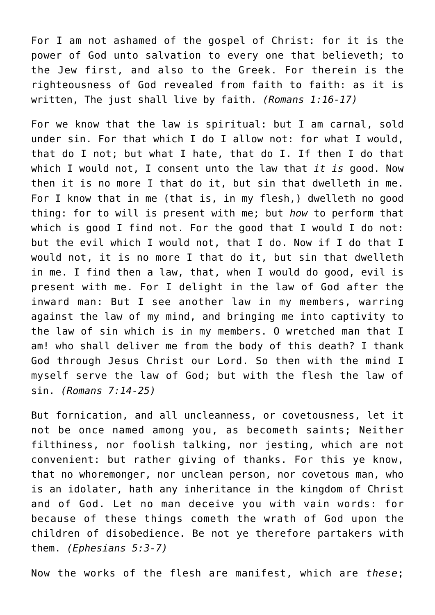For I am not ashamed of the gospel of Christ: for it is the power of God unto salvation to every one that believeth; to the Jew first, and also to the Greek. For therein is the righteousness of God revealed from faith to faith: as it is written, The just shall live by faith. *(Romans 1:16-17)*

For we know that the law is spiritual: but I am carnal, sold under sin. For that which I do I allow not: for what I would, that do I not; but what I hate, that do I. If then I do that which I would not, I consent unto the law that *it is* good. Now then it is no more I that do it, but sin that dwelleth in me. For I know that in me (that is, in my flesh,) dwelleth no good thing: for to will is present with me; but *how* to perform that which is good I find not. For the good that I would I do not: but the evil which I would not, that I do. Now if I do that I would not, it is no more I that do it, but sin that dwelleth in me. I find then a law, that, when I would do good, evil is present with me. For I delight in the law of God after the inward man: But I see another law in my members, warring against the law of my mind, and bringing me into captivity to the law of sin which is in my members. O wretched man that I am! who shall deliver me from the body of this death? I thank God through Jesus Christ our Lord. So then with the mind I myself serve the law of God; but with the flesh the law of sin. *(Romans 7:14-25)*

But fornication, and all uncleanness, or covetousness, let it not be once named among you, as becometh saints; Neither filthiness, nor foolish talking, nor jesting, which are not convenient: but rather giving of thanks. For this ye know, that no whoremonger, nor unclean person, nor covetous man, who is an idolater, hath any inheritance in the kingdom of Christ and of God. Let no man deceive you with vain words: for because of these things cometh the wrath of God upon the children of disobedience. Be not ye therefore partakers with them. *(Ephesians 5:3-7)*

Now the works of the flesh are manifest, which are *these*;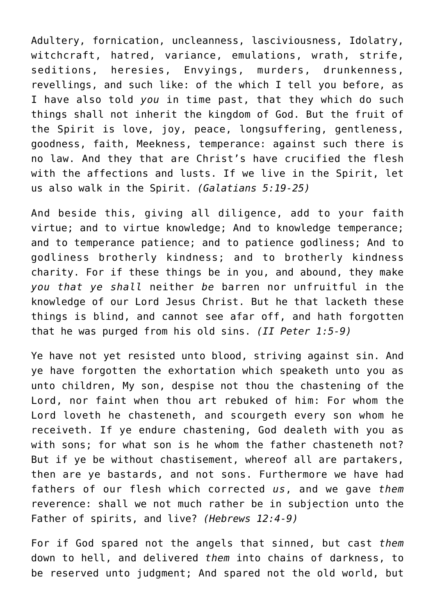Adultery, fornication, uncleanness, lasciviousness, Idolatry, witchcraft, hatred, variance, emulations, wrath, strife, seditions, heresies, Envyings, murders, drunkenness, revellings, and such like: of the which I tell you before, as I have also told *you* in time past, that they which do such things shall not inherit the kingdom of God. But the fruit of the Spirit is love, joy, peace, longsuffering, gentleness, goodness, faith, Meekness, temperance: against such there is no law. And they that are Christ's have crucified the flesh with the affections and lusts. If we live in the Spirit, let us also walk in the Spirit. *(Galatians 5:19-25)*

And beside this, giving all diligence, add to your faith virtue; and to virtue knowledge; And to knowledge temperance; and to temperance patience; and to patience godliness; And to godliness brotherly kindness; and to brotherly kindness charity. For if these things be in you, and abound, they make *you that ye shall* neither *be* barren nor unfruitful in the knowledge of our Lord Jesus Christ. But he that lacketh these things is blind, and cannot see afar off, and hath forgotten that he was purged from his old sins. *(II Peter 1:5-9)*

Ye have not yet resisted unto blood, striving against sin. And ye have forgotten the exhortation which speaketh unto you as unto children, My son, despise not thou the chastening of the Lord, nor faint when thou art rebuked of him: For whom the Lord loveth he chasteneth, and scourgeth every son whom he receiveth. If ye endure chastening, God dealeth with you as with sons; for what son is he whom the father chasteneth not? But if ye be without chastisement, whereof all are partakers, then are ye bastards, and not sons. Furthermore we have had fathers of our flesh which corrected *us*, and we gave *them* reverence: shall we not much rather be in subjection unto the Father of spirits, and live? *(Hebrews 12:4-9)*

For if God spared not the angels that sinned, but cast *them* down to hell, and delivered *them* into chains of darkness, to be reserved unto judgment; And spared not the old world, but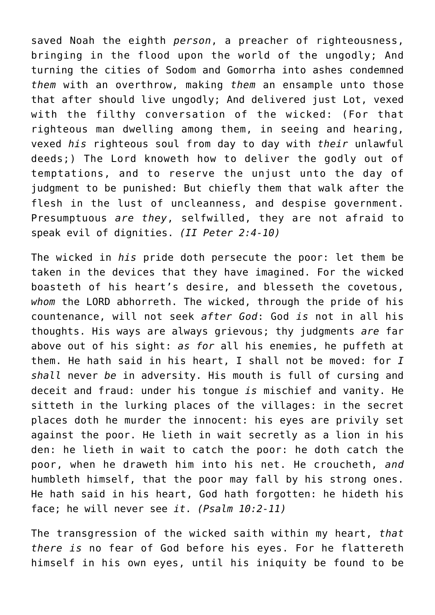saved Noah the eighth *person*, a preacher of righteousness, bringing in the flood upon the world of the ungodly; And turning the cities of Sodom and Gomorrha into ashes condemned *them* with an overthrow, making *them* an ensample unto those that after should live ungodly; And delivered just Lot, vexed with the filthy conversation of the wicked: (For that righteous man dwelling among them, in seeing and hearing, vexed *his* righteous soul from day to day with *their* unlawful deeds;) The Lord knoweth how to deliver the godly out of temptations, and to reserve the unjust unto the day of judgment to be punished: But chiefly them that walk after the flesh in the lust of uncleanness, and despise government. Presumptuous *are they*, selfwilled, they are not afraid to speak evil of dignities. *(II Peter 2:4-10)*

The wicked in *his* pride doth persecute the poor: let them be taken in the devices that they have imagined. For the wicked boasteth of his heart's desire, and blesseth the covetous, *whom* the LORD abhorreth. The wicked, through the pride of his countenance, will not seek *after God*: God *is* not in all his thoughts. His ways are always grievous; thy judgments *are* far above out of his sight: *as for* all his enemies, he puffeth at them. He hath said in his heart, I shall not be moved: for *I shall* never *be* in adversity. His mouth is full of cursing and deceit and fraud: under his tongue *is* mischief and vanity. He sitteth in the lurking places of the villages: in the secret places doth he murder the innocent: his eyes are privily set against the poor. He lieth in wait secretly as a lion in his den: he lieth in wait to catch the poor: he doth catch the poor, when he draweth him into his net. He croucheth, *and* humbleth himself, that the poor may fall by his strong ones. He hath said in his heart, God hath forgotten: he hideth his face; he will never see *it*. *(Psalm 10:2-11)*

The transgression of the wicked saith within my heart, *that there is* no fear of God before his eyes. For he flattereth himself in his own eyes, until his iniquity be found to be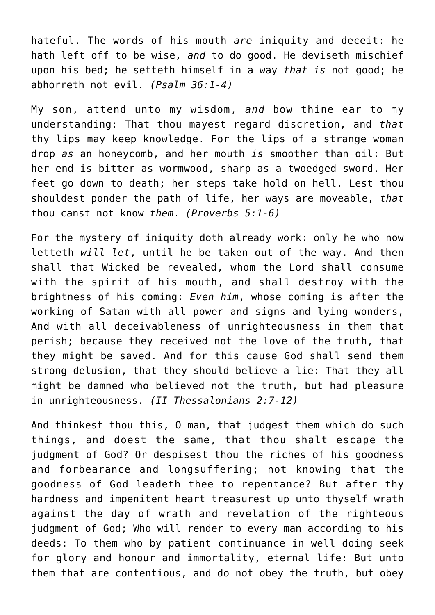hateful. The words of his mouth *are* iniquity and deceit: he hath left off to be wise, *and* to do good. He deviseth mischief upon his bed; he setteth himself in a way *that is* not good; he abhorreth not evil. *(Psalm 36:1-4)*

My son, attend unto my wisdom, *and* bow thine ear to my understanding: That thou mayest regard discretion, and *that* thy lips may keep knowledge. For the lips of a strange woman drop *as* an honeycomb, and her mouth *is* smoother than oil: But her end is bitter as wormwood, sharp as a twoedged sword. Her feet go down to death; her steps take hold on hell. Lest thou shouldest ponder the path of life, her ways are moveable, *that* thou canst not know *them*. *(Proverbs 5:1-6)*

For the mystery of iniquity doth already work: only he who now letteth *will let*, until he be taken out of the way. And then shall that Wicked be revealed, whom the Lord shall consume with the spirit of his mouth, and shall destroy with the brightness of his coming: *Even him*, whose coming is after the working of Satan with all power and signs and lying wonders, And with all deceivableness of unrighteousness in them that perish; because they received not the love of the truth, that they might be saved. And for this cause God shall send them strong delusion, that they should believe a lie: That they all might be damned who believed not the truth, but had pleasure in unrighteousness. *(II Thessalonians 2:7-12)*

And thinkest thou this, O man, that judgest them which do such things, and doest the same, that thou shalt escape the judgment of God? Or despisest thou the riches of his goodness and forbearance and longsuffering; not knowing that the goodness of God leadeth thee to repentance? But after thy hardness and impenitent heart treasurest up unto thyself wrath against the day of wrath and revelation of the righteous judgment of God; Who will render to every man according to his deeds: To them who by patient continuance in well doing seek for glory and honour and immortality, eternal life: But unto them that are contentious, and do not obey the truth, but obey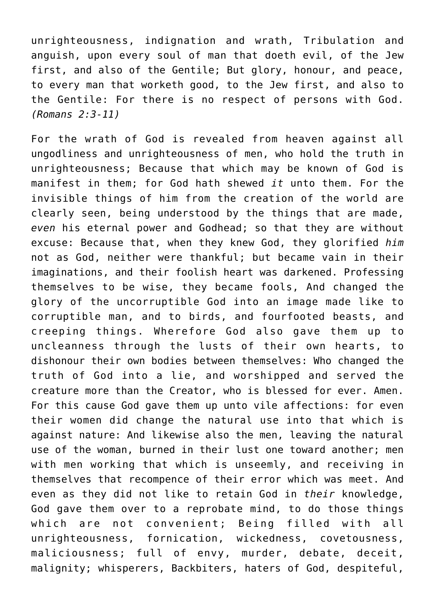unrighteousness, indignation and wrath, Tribulation and anguish, upon every soul of man that doeth evil, of the Jew first, and also of the Gentile; But glory, honour, and peace, to every man that worketh good, to the Jew first, and also to the Gentile: For there is no respect of persons with God. *(Romans 2:3-11)*

For the wrath of God is revealed from heaven against all ungodliness and unrighteousness of men, who hold the truth in unrighteousness; Because that which may be known of God is manifest in them; for God hath shewed *it* unto them. For the invisible things of him from the creation of the world are clearly seen, being understood by the things that are made, *even* his eternal power and Godhead; so that they are without excuse: Because that, when they knew God, they glorified *him* not as God, neither were thankful; but became vain in their imaginations, and their foolish heart was darkened. Professing themselves to be wise, they became fools, And changed the glory of the uncorruptible God into an image made like to corruptible man, and to birds, and fourfooted beasts, and creeping things. Wherefore God also gave them up to uncleanness through the lusts of their own hearts, to dishonour their own bodies between themselves: Who changed the truth of God into a lie, and worshipped and served the creature more than the Creator, who is blessed for ever. Amen. For this cause God gave them up unto vile affections: for even their women did change the natural use into that which is against nature: And likewise also the men, leaving the natural use of the woman, burned in their lust one toward another; men with men working that which is unseemly, and receiving in themselves that recompence of their error which was meet. And even as they did not like to retain God in *their* knowledge, God gave them over to a reprobate mind, to do those things which are not convenient; Being filled with all unrighteousness, fornication, wickedness, covetousness, maliciousness; full of envy, murder, debate, deceit, malignity; whisperers, Backbiters, haters of God, despiteful,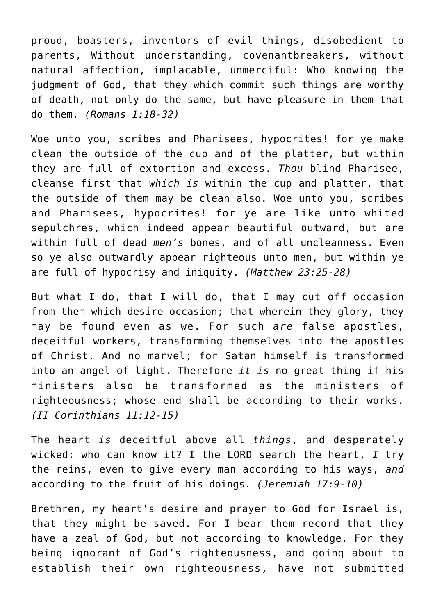proud, boasters, inventors of evil things, disobedient to parents, Without understanding, covenantbreakers, without natural affection, implacable, unmerciful: Who knowing the judgment of God, that they which commit such things are worthy of death, not only do the same, but have pleasure in them that do them. *(Romans 1:18-32)*

Woe unto you, scribes and Pharisees, hypocrites! for ye make clean the outside of the cup and of the platter, but within they are full of extortion and excess. *Thou* blind Pharisee, cleanse first that *which is* within the cup and platter, that the outside of them may be clean also. Woe unto you, scribes and Pharisees, hypocrites! for ye are like unto whited sepulchres, which indeed appear beautiful outward, but are within full of dead *men's* bones, and of all uncleanness. Even so ye also outwardly appear righteous unto men, but within ye are full of hypocrisy and iniquity. *(Matthew 23:25-28)*

But what I do, that I will do, that I may cut off occasion from them which desire occasion; that wherein they glory, they may be found even as we. For such *are* false apostles, deceitful workers, transforming themselves into the apostles of Christ. And no marvel; for Satan himself is transformed into an angel of light. Therefore *it is* no great thing if his ministers also be transformed as the ministers of righteousness; whose end shall be according to their works. *(II Corinthians 11:12-15)*

The heart *is* deceitful above all *things*, and desperately wicked: who can know it? I the LORD search the heart, *I* try the reins, even to give every man according to his ways, *and* according to the fruit of his doings. *(Jeremiah 17:9-10)*

Brethren, my heart's desire and prayer to God for Israel is, that they might be saved. For I bear them record that they have a zeal of God, but not according to knowledge. For they being ignorant of God's righteousness, and going about to establish their own righteousness, have not submitted